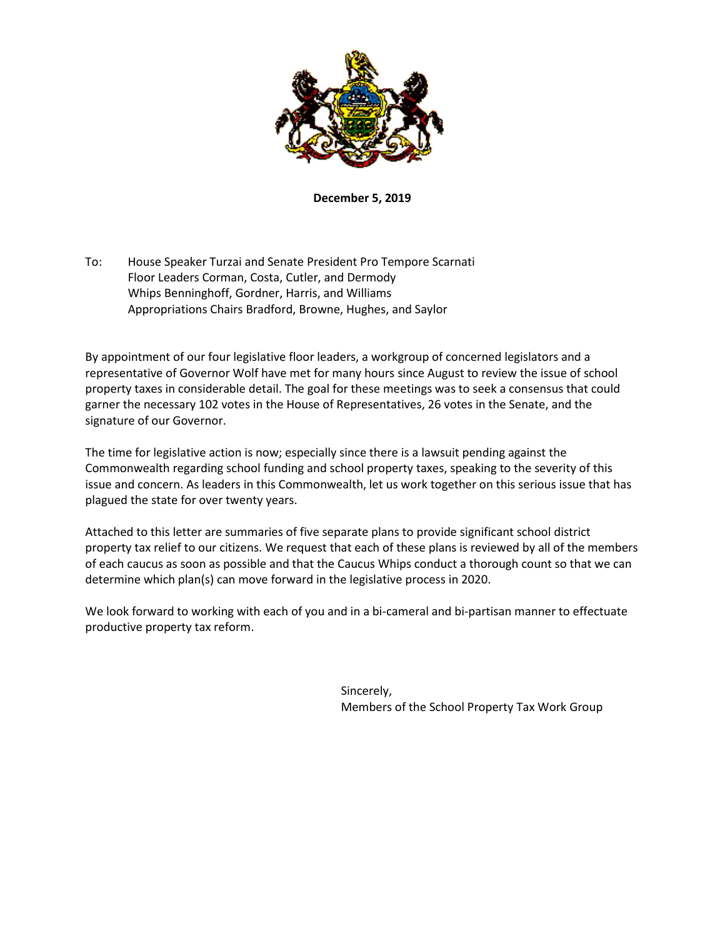

**December 5, 2019**

To: House Speaker Turzai and Senate President Pro Tempore Scarnati Floor Leaders Corman, Costa, Cutler, and Dermody Whips Benninghoff, Gordner, Harris, and Williams Appropriations Chairs Bradford, Browne, Hughes, and Saylor

By appointment of our four legislative floor leaders, a workgroup of concerned legislators and a representative of Governor Wolf have met for many hours since August to review the issue of school property taxes in considerable detail. The goal for these meetings was to seek a consensus that could garner the necessary 102 votes in the House of Representatives, 26 votes in the Senate, and the signature of our Governor.

The time for legislative action is now; especially since there is a lawsuit pending against the Commonwealth regarding school funding and school property taxes, speaking to the severity of this issue and concern. As leaders in this Commonwealth, let us work together on this serious issue that has plagued the state for over twenty years.

Attached to this letter are summaries of five separate plans to provide significant school district property tax relief to our citizens. We request that each of these plans is reviewed by all of the members of each caucus as soon as possible and that the Caucus Whips conduct a thorough count so that we can determine which plan(s) can move forward in the legislative process in 2020.

We look forward to working with each of you and in a bi-cameral and bi-partisan manner to effectuate productive property tax reform.

> Sincerely, Members of the School Property Tax Work Group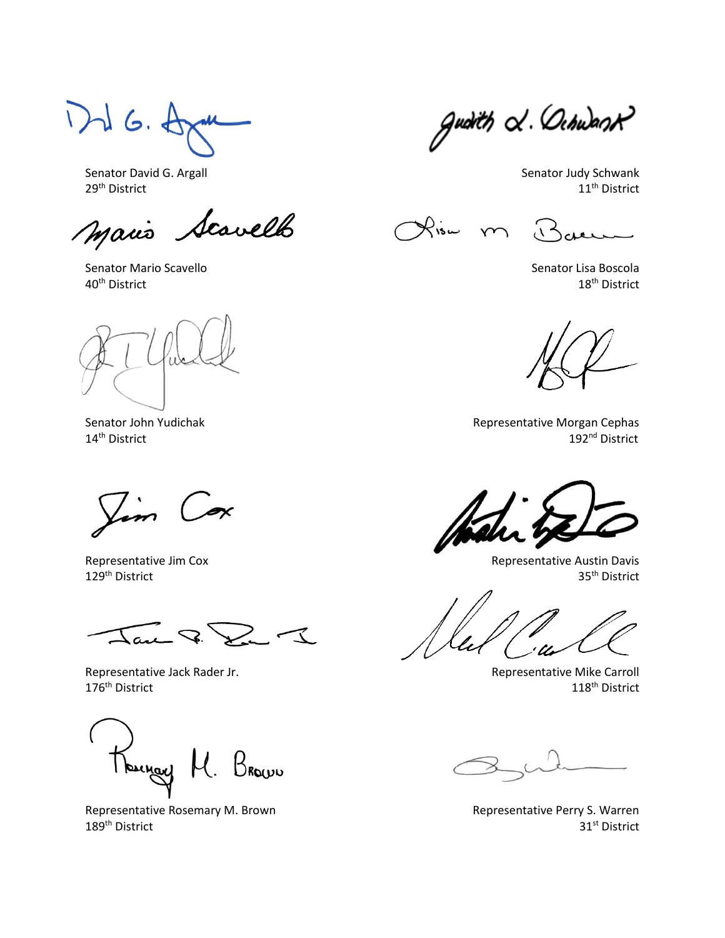1)  $d$  G.  $A$ 

Senator David G. Argall Senator David G. Argall Senator Judy Schwank<br>
29<sup>th</sup> District 11<sup>th</sup> District 11<sup>th</sup> District  $29^{\text{th}}$  District  $11^{\text{th}}$  District

Mario Scavello

Senator Mario Scavello Senator Lisa Boscola  $40^{\text{th}}$  District  $18^{\text{th}}$  District

Vim Cox

 $\mathcal{I}$  $\sim$ 

Representative Jack Rader Jr. (2008) Representative Mike Carroll  $176^{\text{th}}$  District  $118^{\text{th}}$  District

BROWU

Representative Rosemary M. Brown Representative Perry S. Warren 189<sup>th</sup> District 31<sup>st</sup> District

gudith & Ochwast

Risa m

 $\Lambda^2$ 

Senator John Yudichak Representative Morgan Cephas<br>14<sup>th</sup> District 192<sup>nd</sup> District 192<sup>nd</sup> District

Representative Jim Cox and Community Controller and Community Representative Austin Davis 129<sup>th</sup> District 35<sup>th</sup> District 35<sup>th</sup> District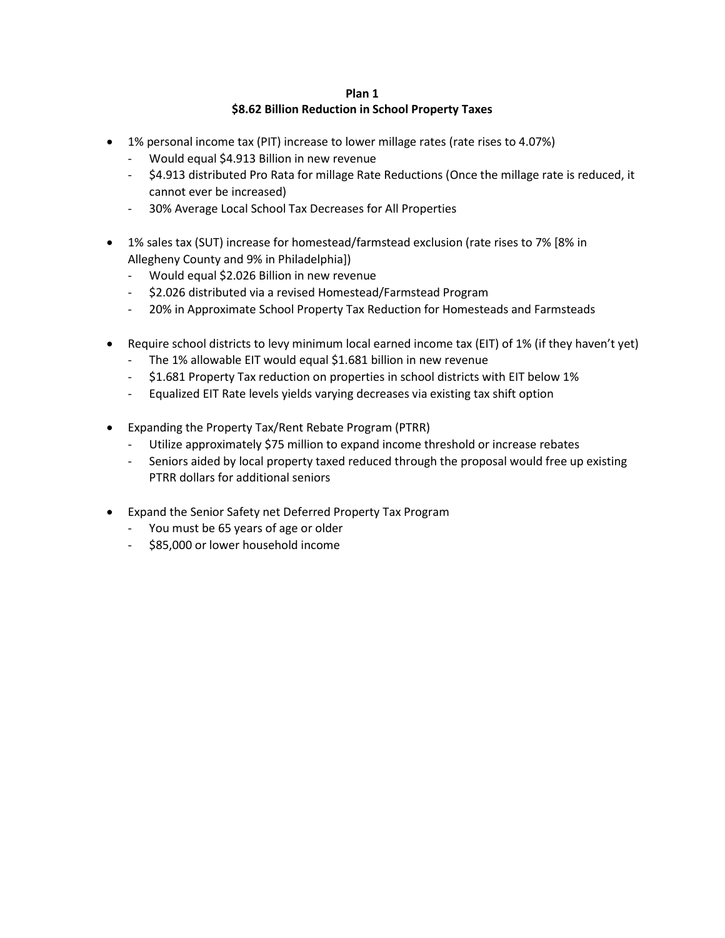# **Plan 1 \$8.62 Billion Reduction in School Property Taxes**

- 1% personal income tax (PIT) increase to lower millage rates (rate rises to 4.07%)
	- Would equal \$4.913 Billion in new revenue
	- \$4.913 distributed Pro Rata for millage Rate Reductions (Once the millage rate is reduced, it cannot ever be increased)
	- 30% Average Local School Tax Decreases for All Properties
- 1% sales tax (SUT) increase for homestead/farmstead exclusion (rate rises to 7% [8% in Allegheny County and 9% in Philadelphia])
	- Would equal \$2.026 Billion in new revenue
	- \$2.026 distributed via a revised Homestead/Farmstead Program
	- 20% in Approximate School Property Tax Reduction for Homesteads and Farmsteads
- Require school districts to levy minimum local earned income tax (EIT) of 1% (if they haven't yet)
	- The 1% allowable EIT would equal \$1.681 billion in new revenue
	- \$1.681 Property Tax reduction on properties in school districts with EIT below 1%
	- Equalized EIT Rate levels yields varying decreases via existing tax shift option
- Expanding the Property Tax/Rent Rebate Program (PTRR)
	- Utilize approximately \$75 million to expand income threshold or increase rebates
	- Seniors aided by local property taxed reduced through the proposal would free up existing PTRR dollars for additional seniors
- Expand the Senior Safety net Deferred Property Tax Program
	- You must be 65 years of age or older
	- \$85,000 or lower household income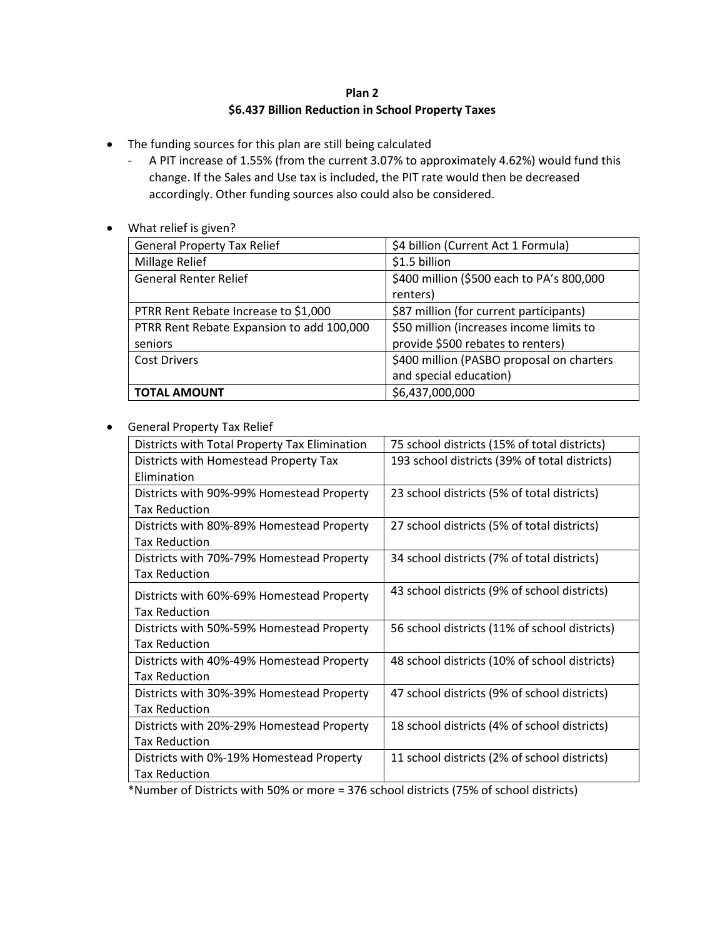# **Plan 2 \$6.437 Billion Reduction in School Property Taxes**

- The funding sources for this plan are still being calculated
	- A PIT increase of 1.55% (from the current 3.07% to approximately 4.62%) would fund this change. If the Sales and Use tax is included, the PIT rate would then be decreased accordingly. Other funding sources also could also be considered.
- What relief is given?

| <b>General Property Tax Relief</b>        | \$4 billion (Current Act 1 Formula)       |
|-------------------------------------------|-------------------------------------------|
| Millage Relief                            | \$1.5 billion                             |
| <b>General Renter Relief</b>              | \$400 million (\$500 each to PA's 800,000 |
|                                           | renters)                                  |
| PTRR Rent Rebate Increase to \$1,000      | \$87 million (for current participants)   |
| PTRR Rent Rebate Expansion to add 100,000 | \$50 million (increases income limits to  |
| seniors                                   | provide \$500 rebates to renters)         |
| <b>Cost Drivers</b>                       | \$400 million (PASBO proposal on charters |
|                                           | and special education)                    |
| <b>TOTAL AMOUNT</b>                       | \$6,437,000,000                           |

## General Property Tax Relief

| Districts with Total Property Tax Elimination | 75 school districts (15% of total districts)  |
|-----------------------------------------------|-----------------------------------------------|
| Districts with Homestead Property Tax         | 193 school districts (39% of total districts) |
| Elimination                                   |                                               |
| Districts with 90%-99% Homestead Property     | 23 school districts (5% of total districts)   |
| <b>Tax Reduction</b>                          |                                               |
| Districts with 80%-89% Homestead Property     | 27 school districts (5% of total districts)   |
| <b>Tax Reduction</b>                          |                                               |
| Districts with 70%-79% Homestead Property     | 34 school districts (7% of total districts)   |
| <b>Tax Reduction</b>                          |                                               |
| Districts with 60%-69% Homestead Property     | 43 school districts (9% of school districts)  |
| <b>Tax Reduction</b>                          |                                               |
| Districts with 50%-59% Homestead Property     | 56 school districts (11% of school districts) |
| <b>Tax Reduction</b>                          |                                               |
| Districts with 40%-49% Homestead Property     | 48 school districts (10% of school districts) |
| <b>Tax Reduction</b>                          |                                               |
| Districts with 30%-39% Homestead Property     | 47 school districts (9% of school districts)  |
| <b>Tax Reduction</b>                          |                                               |
| Districts with 20%-29% Homestead Property     | 18 school districts (4% of school districts)  |
| <b>Tax Reduction</b>                          |                                               |
| Districts with 0%-19% Homestead Property      | 11 school districts (2% of school districts)  |
| <b>Tax Reduction</b>                          |                                               |
|                                               |                                               |

\*Number of Districts with 50% or more = 376 school districts (75% of school districts)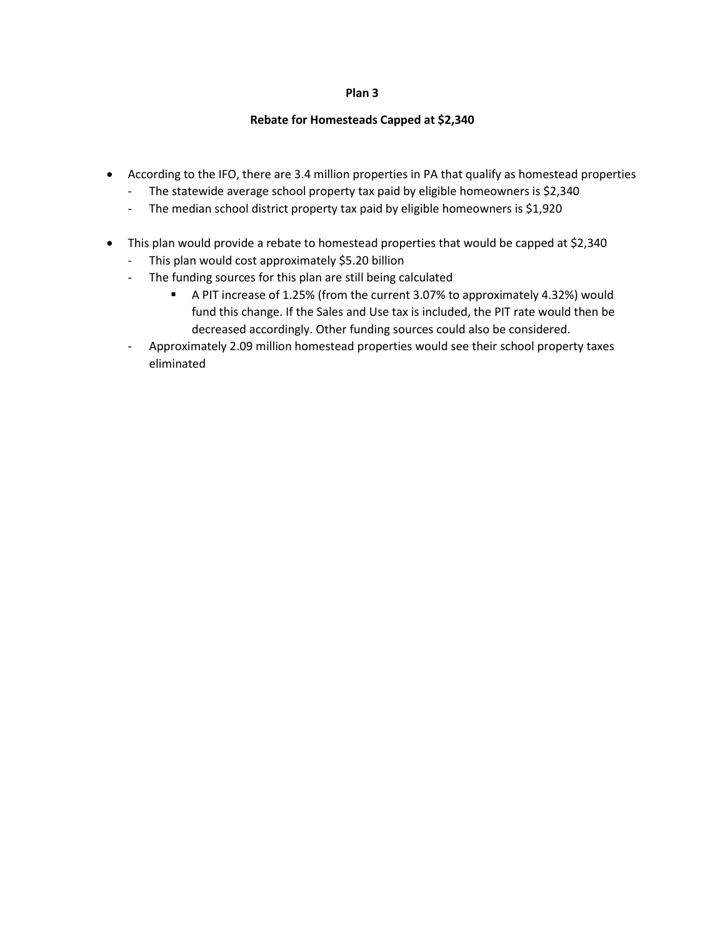## **Plan 3**

# **Rebate for Homesteads Capped at \$2,340**

- According to the IFO, there are 3.4 million properties in PA that qualify as homestead properties
	- The statewide average school property tax paid by eligible homeowners is \$2,340
	- The median school district property tax paid by eligible homeowners is \$1,920
- This plan would provide a rebate to homestead properties that would be capped at \$2,340
	- This plan would cost approximately \$5.20 billion
	- The funding sources for this plan are still being calculated
		- A PIT increase of 1.25% (from the current 3.07% to approximately 4.32%) would fund this change. If the Sales and Use tax is included, the PIT rate would then be decreased accordingly. Other funding sources could also be considered.
	- Approximately 2.09 million homestead properties would see their school property taxes eliminated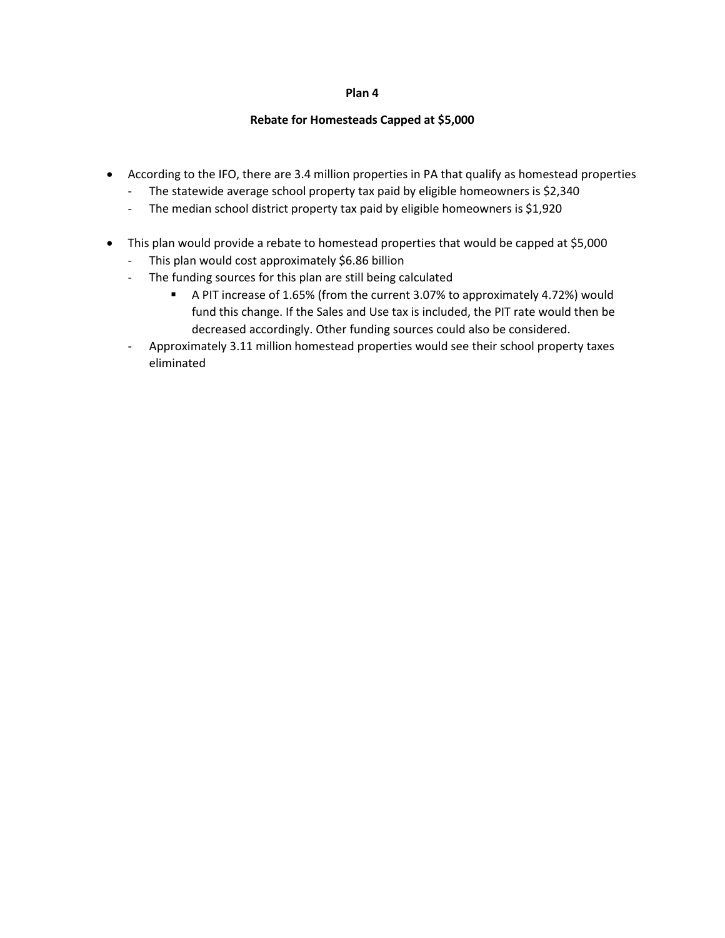## **Plan 4**

### **Rebate for Homesteads Capped at \$5,000**

- According to the IFO, there are 3.4 million properties in PA that qualify as homestead properties
	- The statewide average school property tax paid by eligible homeowners is \$2,340
	- The median school district property tax paid by eligible homeowners is \$1,920
- This plan would provide a rebate to homestead properties that would be capped at \$5,000
	- This plan would cost approximately \$6.86 billion
	- The funding sources for this plan are still being calculated
		- A PIT increase of 1.65% (from the current 3.07% to approximately 4.72%) would fund this change. If the Sales and Use tax is included, the PIT rate would then be decreased accordingly. Other funding sources could also be considered.
	- Approximately 3.11 million homestead properties would see their school property taxes eliminated